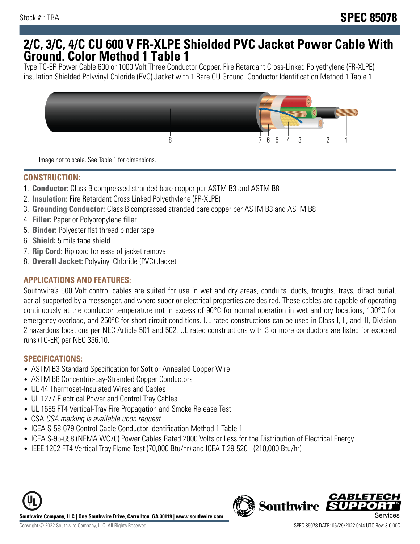## **2/C, 3/C, 4/C CU 600 V FR-XLPE Shielded PVC Jacket Power Cable With Ground. Color Method 1 Table 1**

Type TC-ER Power Cable 600 or 1000 Volt Three Conductor Copper, Fire Retardant Cross-Linked Polyethylene (FR-XLPE) insulation Shielded Polyvinyl Chloride (PVC) Jacket with 1 Bare CU Ground. Conductor Identification Method 1 Table 1



Image not to scale. See Table 1 for dimensions.

#### **CONSTRUCTION:**

- 1. **Conductor:** Class B compressed stranded bare copper per ASTM B3 and ASTM B8
- 2. **Insulation:** Fire Retardant Cross Linked Polyethylene (FR-XLPE)
- 3. **Grounding Conductor:** Class B compressed stranded bare copper per ASTM B3 and ASTM B8
- 4. **Filler:** Paper or Polypropylene filler
- 5. **Binder:** Polyester flat thread binder tape
- 6. **Shield:** 5 mils tape shield
- 7. **Rip Cord:** Rip cord for ease of jacket removal
- 8. **Overall Jacket:** Polyvinyl Chloride (PVC) Jacket

### **APPLICATIONS AND FEATURES:**

Southwire's 600 Volt control cables are suited for use in wet and dry areas, conduits, ducts, troughs, trays, direct burial, aerial supported by a messenger, and where superior electrical properties are desired. These cables are capable of operating continuously at the conductor temperature not in excess of 90°C for normal operation in wet and dry locations, 130°C for emergency overload, and 250°C for short circuit conditions. UL rated constructions can be used in Class I, II, and III, Division 2 hazardous locations per NEC Article 501 and 502. UL rated constructions with 3 or more conductors are listed for exposed runs (TC-ER) per NEC 336.10.

#### **SPECIFICATIONS:**

- ASTM B3 Standard Specification for Soft or Annealed Copper Wire
- ASTM B8 Concentric-Lay-Stranded Copper Conductors
- UL 44 Thermoset-Insulated Wires and Cables
- UL 1277 Electrical Power and Control Tray Cables
- UL 1685 FT4 Vertical-Tray Fire Propagation and Smoke Release Test
- CSA CSA marking is available upon request
- ICEA S-58-679 Control Cable Conductor Identification Method 1 Table 1
- ICEA S-95-658 (NEMA WC70) Power Cables Rated 2000 Volts or Less for the Distribution of Electrical Energy
- IEEE 1202 FT4 Vertical Tray Flame Test (70,000 Btu/hr) and ICEA T-29-520 (210,000 Btu/hr)



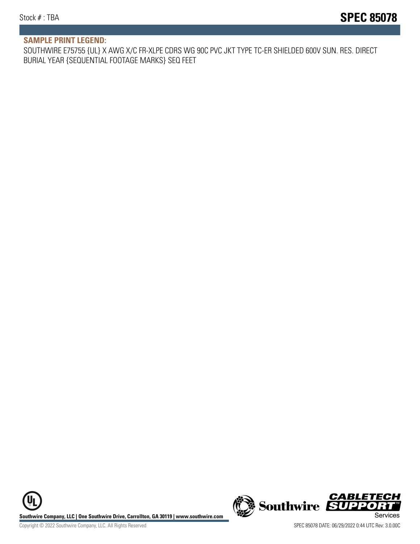#### **SAMPLE PRINT LEGEND:**

SOUTHWIRE E75755 {UL} X AWG X/C FR-XLPE CDRS WG 90C PVC JKT TYPE TC-ER SHIELDED 600V SUN. RES. DIRECT BURIAL YEAR {SEQUENTIAL FOOTAGE MARKS} SEQ FEET

**U Southwire Company, LLC | One Southwire Drive, Carrollton, GA 30119 | www.southwire.com (New Southwire SUPPORTI**